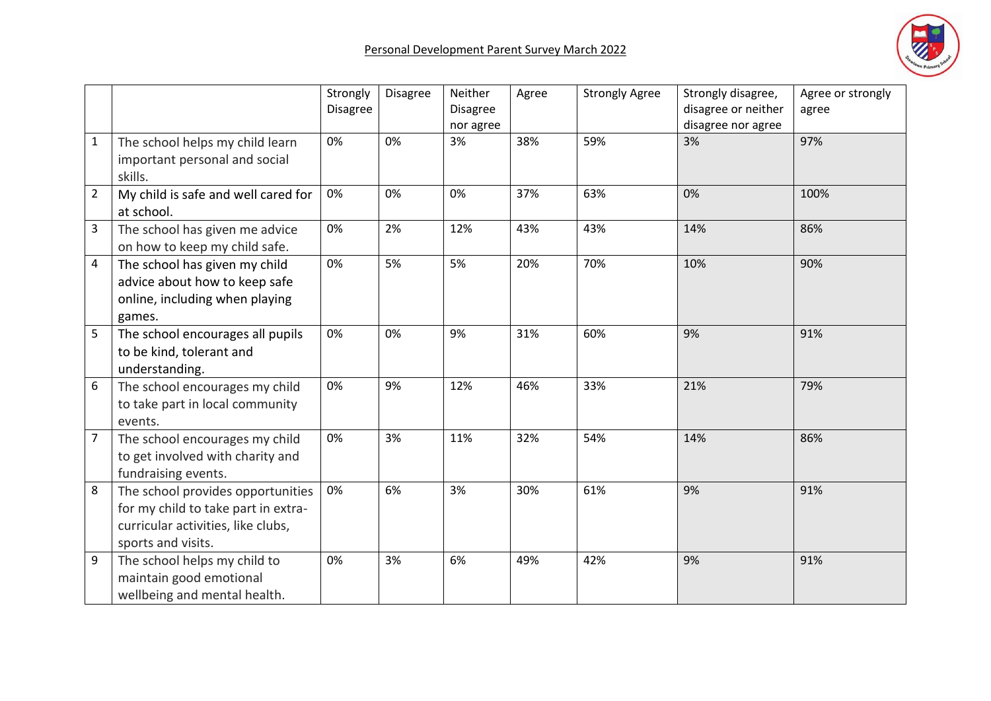

|                |                                                                                                                                      | Strongly<br><b>Disagree</b> | <b>Disagree</b> | Neither<br><b>Disagree</b><br>nor agree | Agree | <b>Strongly Agree</b> | Strongly disagree,<br>disagree or neither<br>disagree nor agree | Agree or strongly<br>agree |
|----------------|--------------------------------------------------------------------------------------------------------------------------------------|-----------------------------|-----------------|-----------------------------------------|-------|-----------------------|-----------------------------------------------------------------|----------------------------|
| $\mathbf 1$    | The school helps my child learn<br>important personal and social<br>skills.                                                          | 0%                          | 0%              | 3%                                      | 38%   | 59%                   | 3%                                                              | 97%                        |
| $\overline{2}$ | My child is safe and well cared for<br>at school.                                                                                    | 0%                          | 0%              | 0%                                      | 37%   | 63%                   | 0%                                                              | 100%                       |
| 3              | The school has given me advice<br>on how to keep my child safe.                                                                      | 0%                          | 2%              | 12%                                     | 43%   | 43%                   | 14%                                                             | 86%                        |
| 4              | The school has given my child<br>advice about how to keep safe<br>online, including when playing<br>games.                           | 0%                          | 5%              | 5%                                      | 20%   | 70%                   | 10%                                                             | 90%                        |
| 5              | The school encourages all pupils<br>to be kind, tolerant and<br>understanding.                                                       | 0%                          | 0%              | 9%                                      | 31%   | 60%                   | 9%                                                              | 91%                        |
| 6              | The school encourages my child<br>to take part in local community<br>events.                                                         | 0%                          | 9%              | 12%                                     | 46%   | 33%                   | 21%                                                             | 79%                        |
| 7              | The school encourages my child<br>to get involved with charity and<br>fundraising events.                                            | 0%                          | 3%              | 11%                                     | 32%   | 54%                   | 14%                                                             | 86%                        |
| 8              | The school provides opportunities<br>for my child to take part in extra-<br>curricular activities, like clubs,<br>sports and visits. | 0%                          | 6%              | 3%                                      | 30%   | 61%                   | 9%                                                              | 91%                        |
| 9              | The school helps my child to<br>maintain good emotional<br>wellbeing and mental health.                                              | 0%                          | 3%              | 6%                                      | 49%   | 42%                   | 9%                                                              | 91%                        |